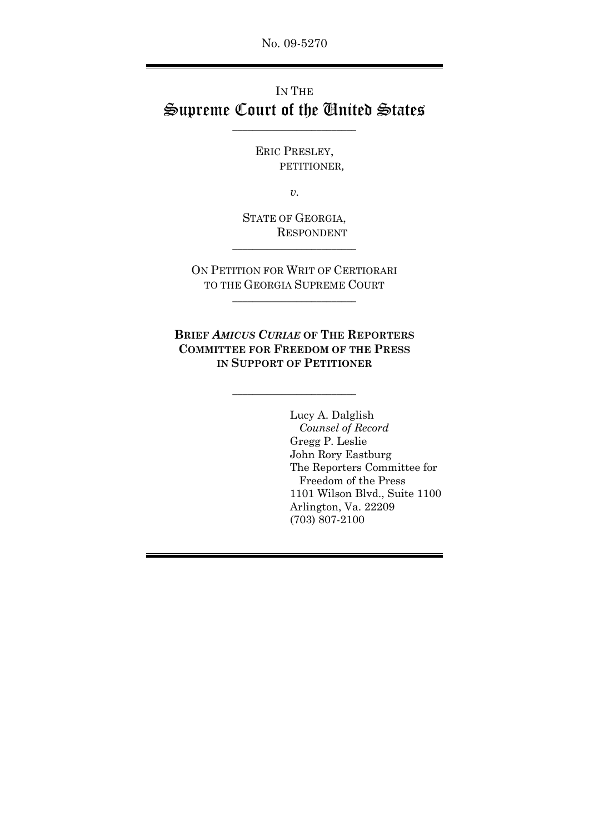No. 09-5270

# IN THE Supreme Court of the United States

\_\_\_\_\_\_\_\_\_\_\_\_\_\_\_\_\_\_\_\_\_\_\_\_\_

ERIC PRESLEY, PETITIONER*,* 

*v. v.* 

STATE OF GEORGIA, RESPONDENT

\_\_\_\_\_\_\_\_\_\_\_\_\_\_\_\_\_\_\_\_\_\_\_\_\_

ON PETITION FOR WRIT OF CERTIORARI TO THE GEORGIA SUPREME COURT

\_\_\_\_\_\_\_\_\_\_\_\_\_\_\_\_\_\_\_\_\_\_\_\_\_

**BRIEF** *AMICUS CURIAE* **OF THE REPORTERS COMMITTEE FOR FREEDOM OF THE PRESS IN SUPPORT OF PETITIONER**

\_\_\_\_\_\_\_\_\_\_\_\_\_\_\_\_\_\_\_\_\_\_\_\_\_

 Lucy A. Dalglish *Counsel of Record*  Gregg P. Leslie John Rory Eastburg The Reporters Committee for Freedom of the Press 1101 Wilson Blvd., Suite 1100 Arlington, Va. 22209 (703) 807-2100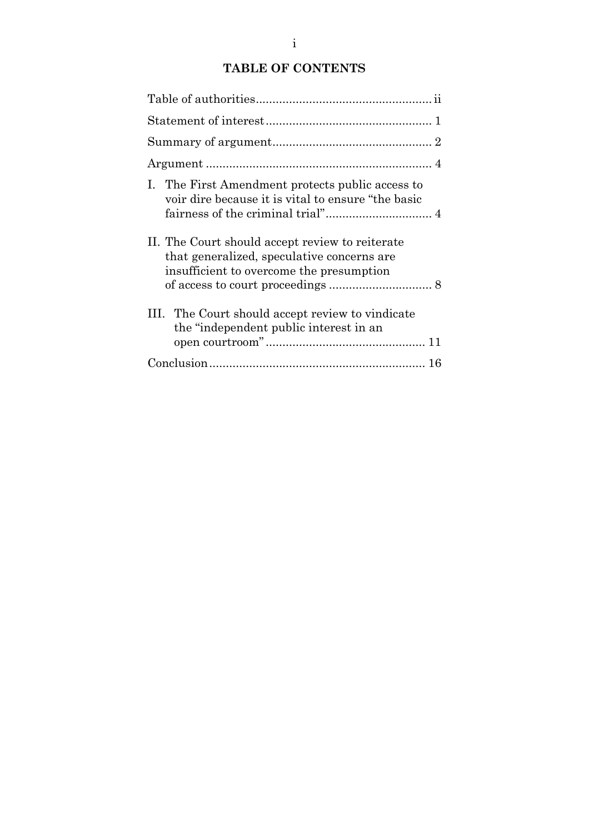# **TABLE OF CONTENTS**

| I. The First Amendment protects public access to<br>voir dire because it is vital to ensure "the basic                                    |
|-------------------------------------------------------------------------------------------------------------------------------------------|
| II. The Court should accept review to reiterate<br>that generalized, speculative concerns are<br>insufficient to overcome the presumption |
| III. The Court should accept review to vindicate<br>the "independent public interest in an                                                |
|                                                                                                                                           |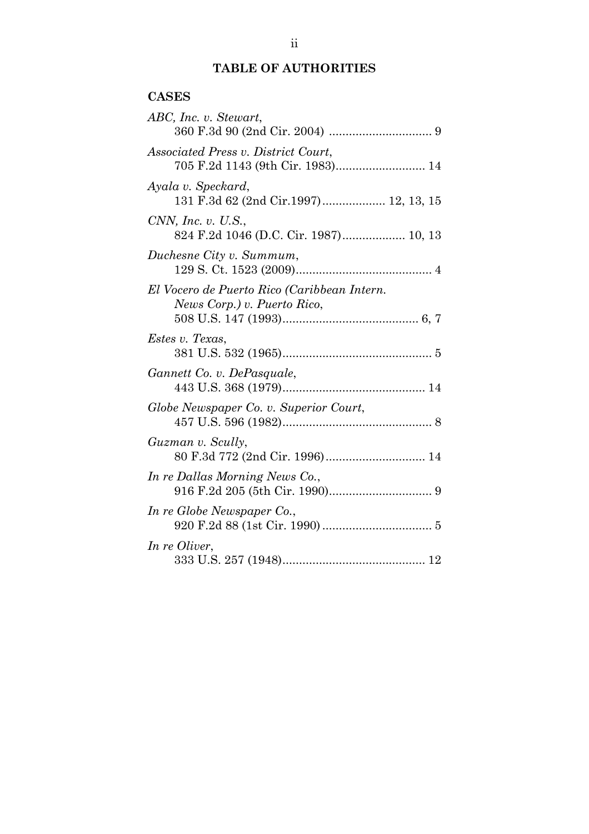## **TABLE OF AUTHORITIES**

### **CASES**

| ABC, Inc. v. Stewart,                                                          |
|--------------------------------------------------------------------------------|
| <i>Associated Press v. District Court,</i><br>705 F.2d 1143 (9th Cir. 1983) 14 |
| Ayala v. Speckard,<br>131 F.3d 62 (2nd Cir.1997) 12, 13, 15                    |
| CNN, Inc. v. $U.S.,$                                                           |
| Duchesne City v. Summum,                                                       |
| El Vocero de Puerto Rico (Caribbean Intern.<br>News Corp.) v. Puerto Rico,     |
| Estes v. Texas,                                                                |
| Gannett Co. v. DePasquale,                                                     |
| Globe Newspaper Co. v. Superior Court,                                         |
| Guzman v. Scully,                                                              |
| In re Dallas Morning News Co.,                                                 |
| In re Globe Newspaper Co.,                                                     |
| In re Oliver,                                                                  |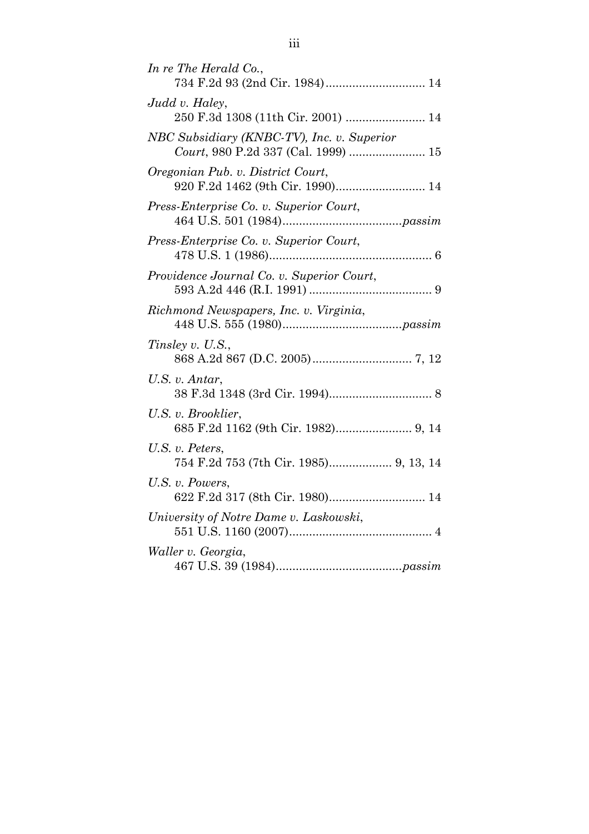| In re The Herald Co.,<br>734 F.2d 93 (2nd Cir. 1984) 14                           |
|-----------------------------------------------------------------------------------|
| Judd v. Haley,<br>250 F.3d 1308 (11th Cir. 2001)  14                              |
| NBC Subsidiary (KNBC-TV), Inc. v. Superior<br>Court, 980 P.2d 337 (Cal. 1999)  15 |
| Oregonian Pub. v. District Court,<br>920 F.2d 1462 (9th Cir. 1990) 14             |
| Press-Enterprise Co. v. Superior Court,                                           |
| Press-Enterprise Co. v. Superior Court,                                           |
| Providence Journal Co. v. Superior Court,                                         |
| Richmond Newspapers, Inc. v. Virginia,                                            |
| Tinsley v. U.S.,                                                                  |
| U.S. v. Antar,                                                                    |
| U.S. v. Brooklier,                                                                |
| U.S. v. Peters,<br>754 F.2d 753 (7th Cir. 1985) 9, 13, 14                         |
| U.S. v. Powers,<br>622 F.2d 317 (8th Cir. 1980) 14                                |
| University of Notre Dame v. Laskowski,                                            |
| Waller v. Georgia,                                                                |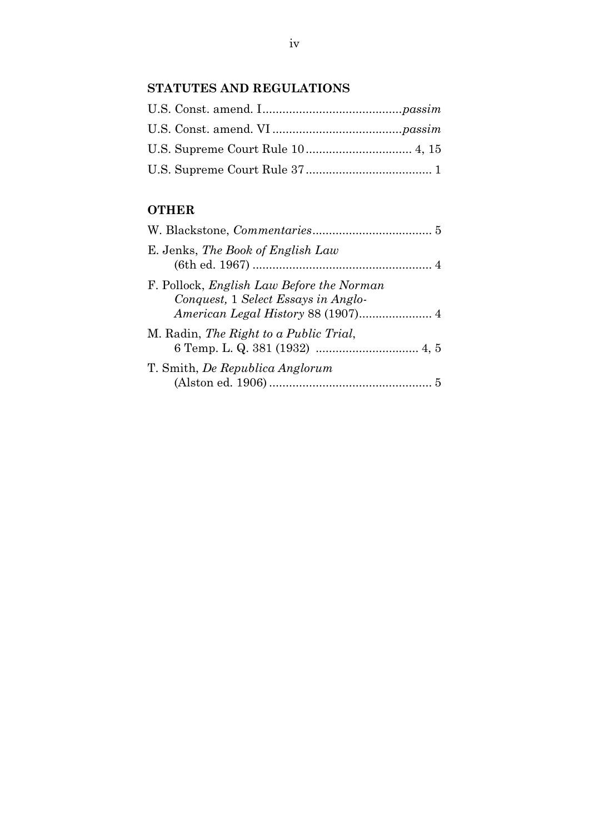## **STATUTES AND REGULATIONS**

## **OTHER**

| E. Jenks, The Book of English Law                                                       |
|-----------------------------------------------------------------------------------------|
| F. Pollock, <i>English Law Before the Norman</i><br>Conquest, 1 Select Essays in Anglo- |
| M. Radin, The Right to a Public Trial,                                                  |
| T. Smith, De Republica Anglorum                                                         |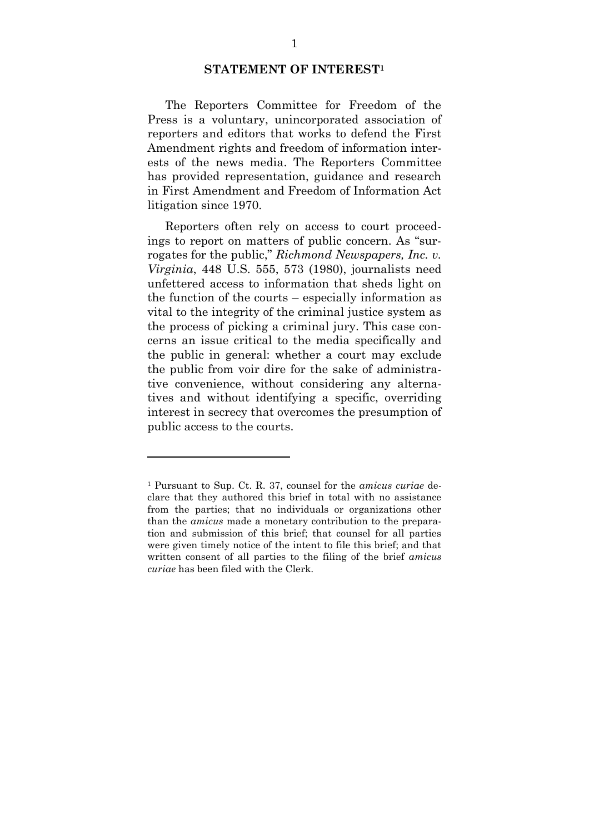#### **STATEMENT OF INTEREST<sup>1</sup>**

The Reporters Committee for Freedom of the Press is a voluntary, unincorporated association of reporters and editors that works to defend the First Amendment rights and freedom of information interests of the news media. The Reporters Committee has provided representation, guidance and research in First Amendment and Freedom of Information Act litigation since 1970.

Reporters often rely on access to court proceedings to report on matters of public concern. As "surrogates for the public," *Richmond Newspapers, Inc. v. Virginia*, 448 U.S. 555, 573 (1980), journalists need unfettered access to information that sheds light on the function of the courts – especially information as vital to the integrity of the criminal justice system as the process of picking a criminal jury. This case concerns an issue critical to the media specifically and the public in general: whether a court may exclude the public from voir dire for the sake of administrative convenience, without considering any alternatives and without identifying a specific, overriding interest in secrecy that overcomes the presumption of public access to the courts.

<sup>1</sup> Pursuant to Sup. Ct. R. 37, counsel for the *amicus curiae* declare that they authored this brief in total with no assistance from the parties; that no individuals or organizations other than the *amicus* made a monetary contribution to the preparation and submission of this brief; that counsel for all parties were given timely notice of the intent to file this brief; and that written consent of all parties to the filing of the brief *amicus curiae* has been filed with the Clerk.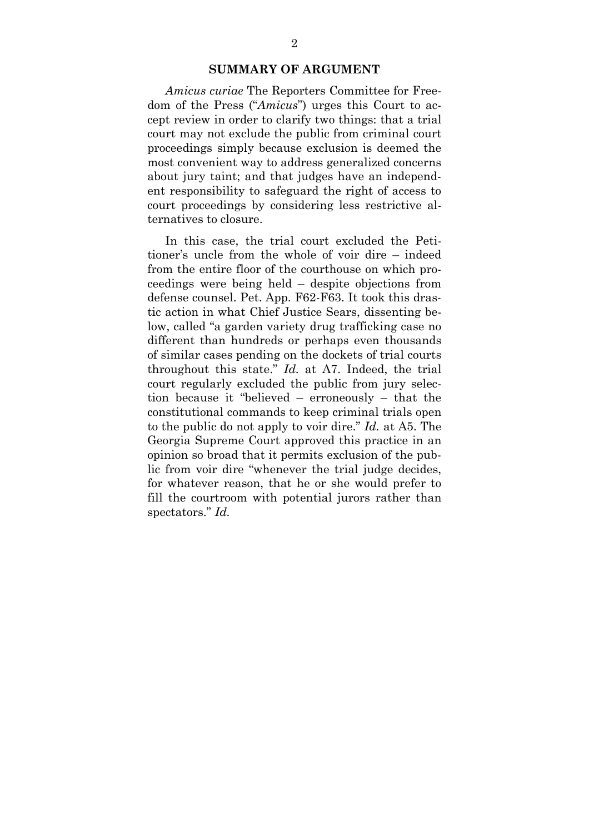#### **SUMMARY OF ARGUMENT**

 *Amicus curiae* The Reporters Committee for Freedom of the Press ("*Amicus*") urges this Court to accept review in order to clarify two things: that a trial court may not exclude the public from criminal court proceedings simply because exclusion is deemed the most convenient way to address generalized concerns about jury taint; and that judges have an independent responsibility to safeguard the right of access to court proceedings by considering less restrictive alternatives to closure.

 In this case, the trial court excluded the Petitioner's uncle from the whole of voir dire – indeed from the entire floor of the courthouse on which proceedings were being held – despite objections from defense counsel. Pet. App. F62-F63. It took this drastic action in what Chief Justice Sears, dissenting below, called "a garden variety drug trafficking case no different than hundreds or perhaps even thousands of similar cases pending on the dockets of trial courts throughout this state." *Id.* at A7. Indeed, the trial court regularly excluded the public from jury selection because it "believed – erroneously – that the constitutional commands to keep criminal trials open to the public do not apply to voir dire." *Id.* at A5. The Georgia Supreme Court approved this practice in an opinion so broad that it permits exclusion of the public from voir dire "whenever the trial judge decides, for whatever reason, that he or she would prefer to fill the courtroom with potential jurors rather than spectators." *Id.*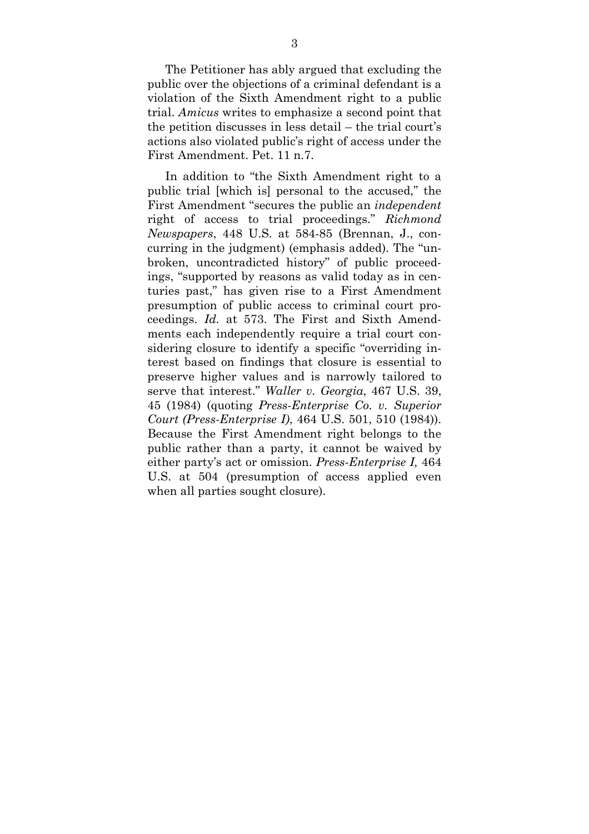The Petitioner has ably argued that excluding the public over the objections of a criminal defendant is a violation of the Sixth Amendment right to a public trial. *Amicus* writes to emphasize a second point that the petition discusses in less detail – the trial court's actions also violated public's right of access under the First Amendment. Pet. 11 n.7.

 In addition to "the Sixth Amendment right to a public trial [which is] personal to the accused," the First Amendment "secures the public an *independent* right of access to trial proceedings." *Richmond Newspapers*, 448 U.S. at 584-85 (Brennan, J., concurring in the judgment) (emphasis added). The "unbroken, uncontradicted history" of public proceedings, "supported by reasons as valid today as in centuries past," has given rise to a First Amendment presumption of public access to criminal court proceedings. *Id.* at 573. The First and Sixth Amendments each independently require a trial court considering closure to identify a specific "overriding interest based on findings that closure is essential to preserve higher values and is narrowly tailored to serve that interest." *Waller v. Georgia*, 467 U.S. 39, 45 (1984) (quoting *Press-Enterprise Co. v. Superior Court (Press-Enterprise I)*, 464 U.S. 501, 510 (1984)). Because the First Amendment right belongs to the public rather than a party, it cannot be waived by either party's act or omission. *Press-Enterprise I,* 464 U.S. at 504 (presumption of access applied even when all parties sought closure).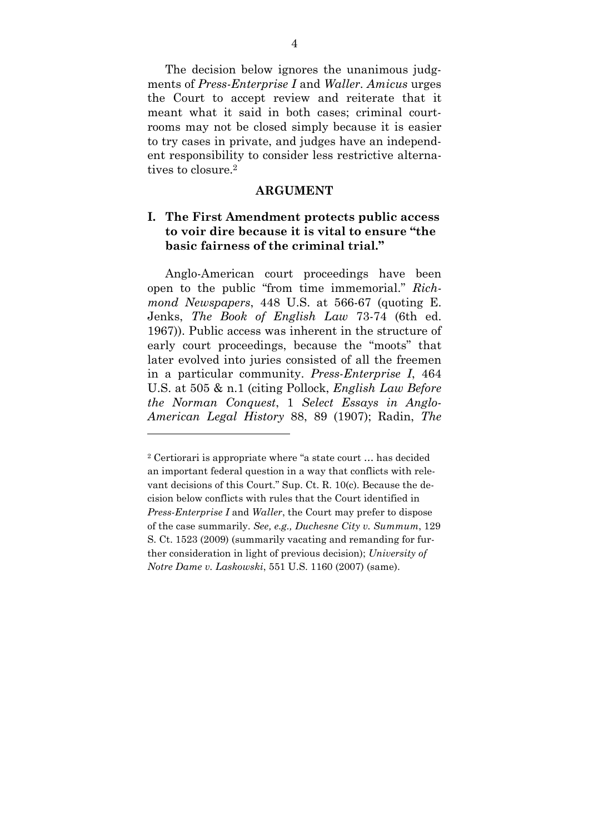The decision below ignores the unanimous judgments of *Press-Enterprise I* and *Waller*. *Amicus* urges the Court to accept review and reiterate that it meant what it said in both cases; criminal courtrooms may not be closed simply because it is easier to try cases in private, and judges have an independent responsibility to consider less restrictive alternatives to closure 2

#### **ARGUMENT**

### **I. The First Amendment protects public access to voir dire because it is vital to ensure "the basic fairness of the criminal trial."**

Anglo-American court proceedings have been open to the public "from time immemorial." *Richmond Newspapers*, 448 U.S. at 566-67 (quoting E. Jenks, *The Book of English Law* 73-74 (6th ed. 1967)). Public access was inherent in the structure of early court proceedings, because the "moots" that later evolved into juries consisted of all the freemen in a particular community. *Press-Enterprise I*, 464 U.S. at 505 & n.1 (citing Pollock, *English Law Before the Norman Conquest*, 1 *Select Essays in Anglo-American Legal History* 88, 89 (1907); Radin, *The* 

<sup>2</sup> Certiorari is appropriate where "a state court … has decided an important federal question in a way that conflicts with relevant decisions of this Court." Sup. Ct. R. 10(c). Because the decision below conflicts with rules that the Court identified in *Press-Enterprise I* and *Waller*, the Court may prefer to dispose of the case summarily. *See, e.g., Duchesne City v. Summum*, 129 S. Ct. 1523 (2009) (summarily vacating and remanding for further consideration in light of previous decision); *University of Notre Dame v. Laskowski*, 551 U.S. 1160 (2007) (same).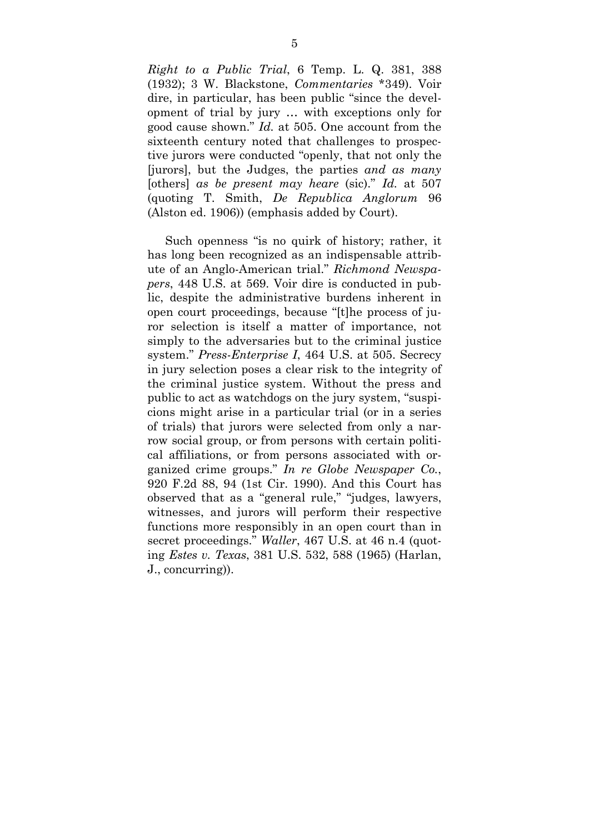*Right to a Public Trial*, 6 Temp. L. Q. 381, 388 (1932); 3 W. Blackstone, *Commentaries* \*349). Voir dire, in particular, has been public "since the development of trial by jury … with exceptions only for good cause shown." *Id.* at 505. One account from the sixteenth century noted that challenges to prospective jurors were conducted "openly, that not only the [jurors], but the Judges, the parties *and as many*  [others] *as be present may heare* (sic)." *Id.* at 507 (quoting T. Smith, *De Republica Anglorum* 96 (Alston ed. 1906)) (emphasis added by Court).

Such openness "is no quirk of history; rather, it has long been recognized as an indispensable attribute of an Anglo-American trial." *Richmond Newspapers*, 448 U.S. at 569. Voir dire is conducted in public, despite the administrative burdens inherent in open court proceedings, because "[t]he process of juror selection is itself a matter of importance, not simply to the adversaries but to the criminal justice system." *Press-Enterprise I*, 464 U.S. at 505. Secrecy in jury selection poses a clear risk to the integrity of the criminal justice system. Without the press and public to act as watchdogs on the jury system, "suspicions might arise in a particular trial (or in a series of trials) that jurors were selected from only a narrow social group, or from persons with certain political affiliations, or from persons associated with organized crime groups." *In re Globe Newspaper Co.*, 920 F.2d 88, 94 (1st Cir. 1990). And this Court has observed that as a "general rule," "judges, lawyers, witnesses, and jurors will perform their respective functions more responsibly in an open court than in secret proceedings." *Waller*, 467 U.S. at 46 n.4 (quoting *Estes v. Texas*, 381 U.S. 532, 588 (1965) (Harlan, J., concurring)).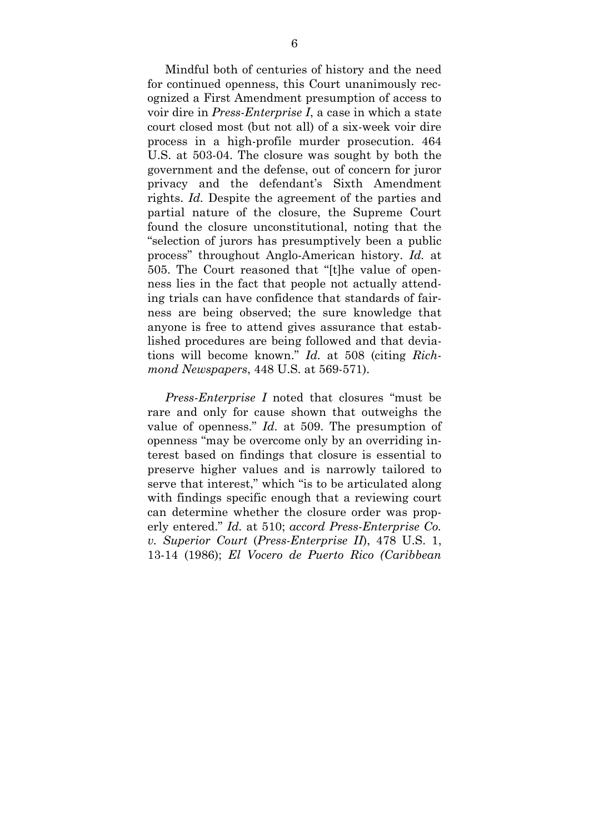Mindful both of centuries of history and the need for continued openness, this Court unanimously recognized a First Amendment presumption of access to voir dire in *Press-Enterprise I*, a case in which a state court closed most (but not all) of a six-week voir dire process in a high-profile murder prosecution. 464 U.S. at 503-04. The closure was sought by both the government and the defense, out of concern for juror privacy and the defendant's Sixth Amendment rights. *Id.* Despite the agreement of the parties and partial nature of the closure, the Supreme Court found the closure unconstitutional, noting that the "selection of jurors has presumptively been a public process" throughout Anglo-American history. *Id.* at 505. The Court reasoned that "[t]he value of openness lies in the fact that people not actually attending trials can have confidence that standards of fairness are being observed; the sure knowledge that anyone is free to attend gives assurance that established procedures are being followed and that deviations will become known." *Id.* at 508 (citing *Richmond Newspapers*, 448 U.S. at 569-571).

*Press-Enterprise I* noted that closures "must be rare and only for cause shown that outweighs the value of openness." *Id.* at 509. The presumption of openness "may be overcome only by an overriding interest based on findings that closure is essential to preserve higher values and is narrowly tailored to serve that interest," which "is to be articulated along with findings specific enough that a reviewing court can determine whether the closure order was properly entered." *Id.* at 510; *accord Press-Enterprise Co. v. Superior Court* (*Press-Enterprise II*), 478 U.S. 1, 13-14 (1986); *El Vocero de Puerto Rico (Caribbean*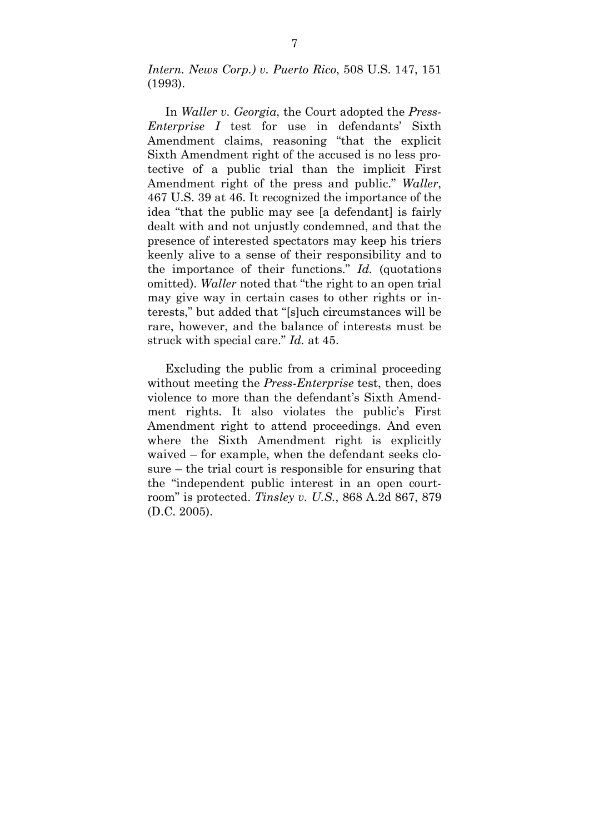*Intern. News Corp.) v. Puerto Rico*, 508 U.S. 147, 151 (1993).

In *Waller v. Georgia*, the Court adopted the *Press-Enterprise I* test for use in defendants' Sixth Amendment claims, reasoning "that the explicit Sixth Amendment right of the accused is no less protective of a public trial than the implicit First Amendment right of the press and public." *Waller*, 467 U.S. 39 at 46. It recognized the importance of the idea "that the public may see [a defendant] is fairly dealt with and not unjustly condemned, and that the presence of interested spectators may keep his triers keenly alive to a sense of their responsibility and to the importance of their functions." *Id.* (quotations omitted). *Waller* noted that "the right to an open trial may give way in certain cases to other rights or interests," but added that "[s]uch circumstances will be rare, however, and the balance of interests must be struck with special care." *Id.* at 45.

Excluding the public from a criminal proceeding without meeting the *Press-Enterprise* test, then, does violence to more than the defendant's Sixth Amendment rights. It also violates the public's First Amendment right to attend proceedings. And even where the Sixth Amendment right is explicitly waived – for example, when the defendant seeks closure – the trial court is responsible for ensuring that the "independent public interest in an open courtroom" is protected. *Tinsley v. U.S.*, 868 A.2d 867, 879 (D.C. 2005).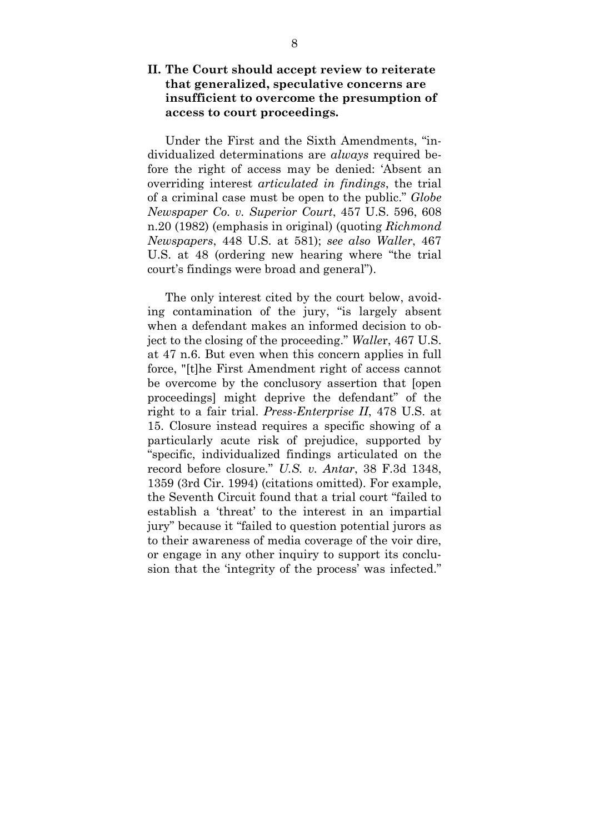### **II. The Court should accept review to reiterate that generalized, speculative concerns are insufficient to overcome the presumption of access to court proceedings.**

Under the First and the Sixth Amendments, "individualized determinations are *always* required before the right of access may be denied: 'Absent an overriding interest *articulated in findings*, the trial of a criminal case must be open to the public." *Globe Newspaper Co. v. Superior Court*, 457 U.S. 596, 608 n.20 (1982) (emphasis in original) (quoting *Richmond Newspapers*, 448 U.S. at 581); *see also Waller*, 467 U.S. at 48 (ordering new hearing where "the trial court's findings were broad and general").

The only interest cited by the court below, avoiding contamination of the jury, "is largely absent when a defendant makes an informed decision to object to the closing of the proceeding." *Walle*r, 467 U.S. at 47 n.6. But even when this concern applies in full force, "[t]he First Amendment right of access cannot be overcome by the conclusory assertion that [open proceedings] might deprive the defendant" of the right to a fair trial. *Press-Enterprise II*, 478 U.S. at 15. Closure instead requires a specific showing of a particularly acute risk of prejudice, supported by "specific, individualized findings articulated on the record before closure." *U.S. v. Antar*, 38 F.3d 1348, 1359 (3rd Cir. 1994) (citations omitted). For example, the Seventh Circuit found that a trial court "failed to establish a 'threat' to the interest in an impartial jury" because it "failed to question potential jurors as to their awareness of media coverage of the voir dire, or engage in any other inquiry to support its conclusion that the 'integrity of the process' was infected."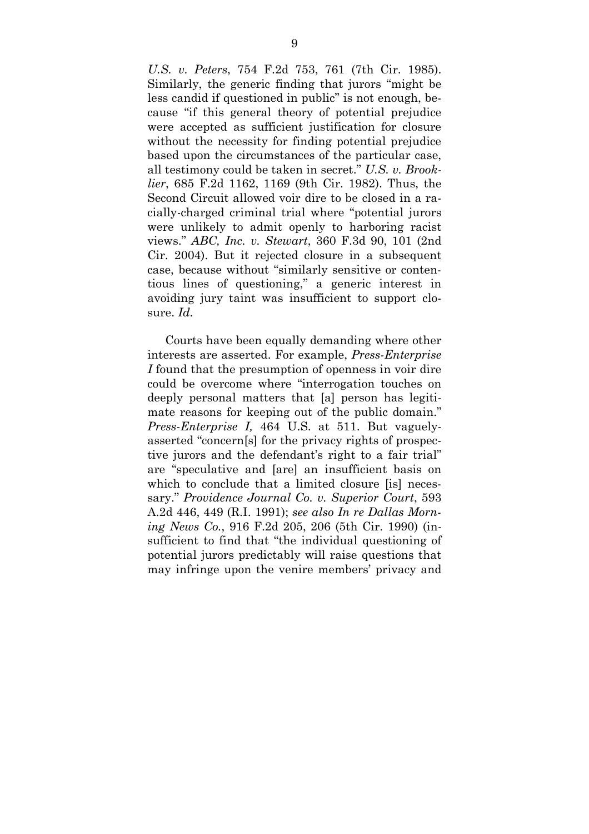*U.S. v. Peters*, 754 F.2d 753, 761 (7th Cir. 1985). Similarly, the generic finding that jurors "might be less candid if questioned in public" is not enough, because "if this general theory of potential prejudice were accepted as sufficient justification for closure without the necessity for finding potential prejudice based upon the circumstances of the particular case, all testimony could be taken in secret." *U.S. v. Brooklier*, 685 F.2d 1162, 1169 (9th Cir. 1982). Thus, the Second Circuit allowed voir dire to be closed in a racially-charged criminal trial where "potential jurors were unlikely to admit openly to harboring racist views." *ABC, Inc. v. Stewart*, 360 F.3d 90, 101 (2nd Cir. 2004). But it rejected closure in a subsequent case, because without "similarly sensitive or contentious lines of questioning," a generic interest in avoiding jury taint was insufficient to support closure. *Id.*

 Courts have been equally demanding where other interests are asserted. For example, *Press-Enterprise I* found that the presumption of openness in voir dire could be overcome where "interrogation touches on deeply personal matters that [a] person has legitimate reasons for keeping out of the public domain." *Press-Enterprise I,* 464 U.S. at 511. But vaguelyasserted "concern[s] for the privacy rights of prospective jurors and the defendant's right to a fair trial" are "speculative and [are] an insufficient basis on which to conclude that a limited closure [is] necessary." *Providence Journal Co. v. Superior Court*, 593 A.2d 446, 449 (R.I. 1991); *see also In re Dallas Morning News Co.*, 916 F.2d 205, 206 (5th Cir. 1990) (insufficient to find that "the individual questioning of potential jurors predictably will raise questions that may infringe upon the venire members' privacy and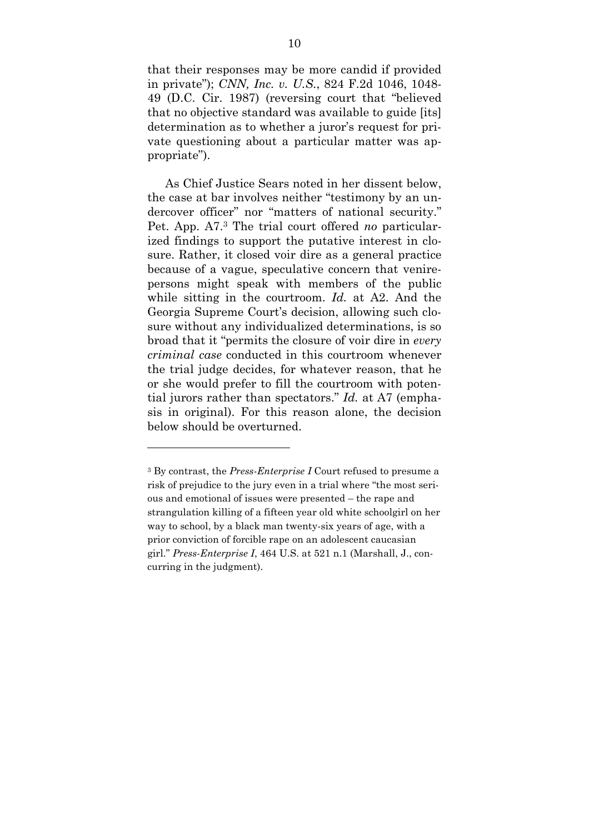that their responses may be more candid if provided in private"); *CNN, Inc. v. U.S.*, 824 F.2d 1046, 1048- 49 (D.C. Cir. 1987) (reversing court that "believed that no objective standard was available to guide [its] determination as to whether a juror's request for private questioning about a particular matter was appropriate").

As Chief Justice Sears noted in her dissent below, the case at bar involves neither "testimony by an undercover officer" nor "matters of national security." Pet. App. A7.3 The trial court offered *no* particularized findings to support the putative interest in closure. Rather, it closed voir dire as a general practice because of a vague, speculative concern that venirepersons might speak with members of the public while sitting in the courtroom. *Id.* at A2. And the Georgia Supreme Court's decision, allowing such closure without any individualized determinations, is so broad that it "permits the closure of voir dire in *every criminal case* conducted in this courtroom whenever the trial judge decides, for whatever reason, that he or she would prefer to fill the courtroom with potential jurors rather than spectators." *Id.* at A7 (emphasis in original). For this reason alone, the decision below should be overturned.

<sup>3</sup> By contrast, the *Press-Enterprise I* Court refused to presume a risk of prejudice to the jury even in a trial where "the most serious and emotional of issues were presented – the rape and strangulation killing of a fifteen year old white schoolgirl on her way to school, by a black man twenty-six years of age, with a prior conviction of forcible rape on an adolescent caucasian girl." *Press-Enterprise I*, 464 U.S. at 521 n.1 (Marshall, J., concurring in the judgment).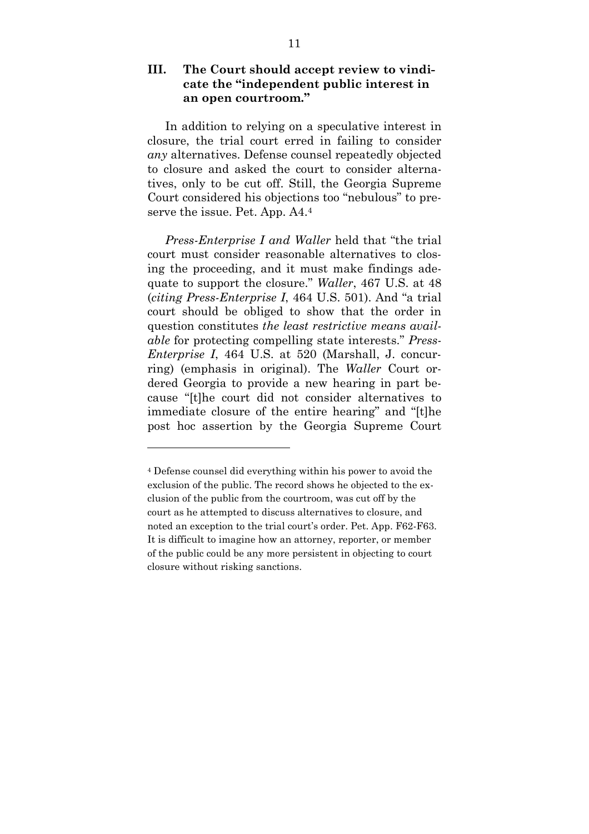### **III. The Court should accept review to vindi cate the "independent public interest in an open courtroom."**

In addition to relying on a speculative interest in closure, the trial court erred in failing to consider *any* alternatives. Defense counsel repeatedly objected to closure and asked the court to consider alternatives, only to be cut off. Still, the Georgia Supreme Court considered his objections too "nebulous" to preserve the issue. Pet. App. A4.<sup>4</sup>

*Press-Enterprise I and Waller* held that "the trial court must consider reasonable alternatives to closing the proceeding, and it must make findings adequate to support the closure." *Waller*, 467 U.S. at 48 (*citing Press-Enterprise I*, 464 U.S. 501). And "a trial court should be obliged to show that the order in question constitutes *the least restrictive means available* for protecting compelling state interests." *Press-Enterprise I*, 464 U.S. at 520 (Marshall, J. concurring) (emphasis in original). The *Waller* Court ordered Georgia to provide a new hearing in part because "[t]he court did not consider alternatives to immediate closure of the entire hearing" and "[t]he post hoc assertion by the Georgia Supreme Court

<sup>4</sup> Defense counsel did everything within his power to avoid the exclusion of the public. The record shows he objected to the exclusion of the public from the courtroom, was cut off by the court as he attempted to discuss alternatives to closure, and noted an exception to the trial court's order. Pet. App. F62-F63. It is difficult to imagine how an attorney, reporter, or member of the public could be any more persistent in objecting to court closure without risking sanctions.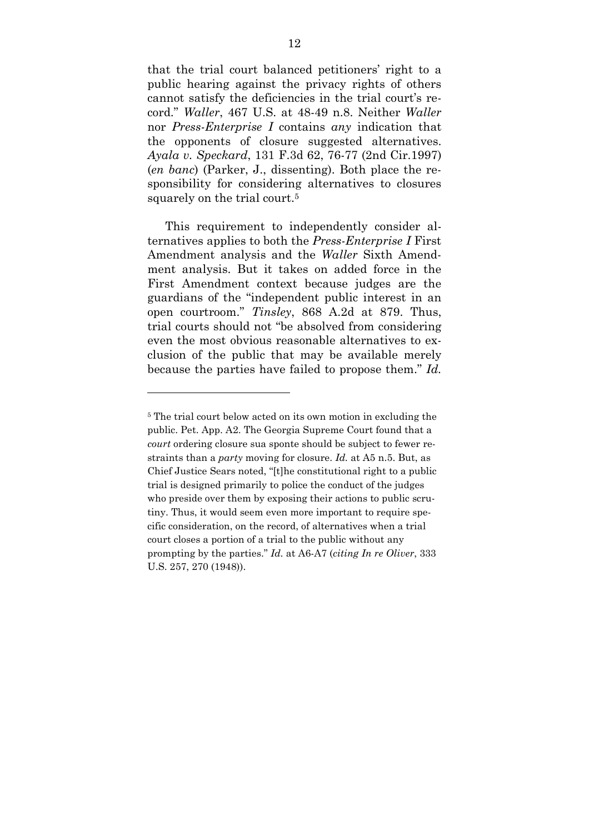that the trial court balanced petitioners' right to a public hearing against the privacy rights of others cannot satisfy the deficiencies in the trial court's record." *Waller*, 467 U.S. at 48-49 n.8. Neither *Waller*  nor *Press-Enterprise I* contains *any* indication that the opponents of closure suggested alternatives. *Ayala v. Speckard*, 131 F.3d 62, 76-77 (2nd Cir.1997) (*en banc*) (Parker, J., dissenting). Both place the responsibility for considering alternatives to closures squarely on the trial court.<sup>5</sup>

This requirement to independently consider alternatives applies to both the *Press-Enterprise I* First Amendment analysis and the *Waller* Sixth Amendment analysis. But it takes on added force in the First Amendment context because judges are the guardians of the "independent public interest in an open courtroom." *Tinsley*, 868 A.2d at 879. Thus, trial courts should not "be absolved from considering even the most obvious reasonable alternatives to exclusion of the public that may be available merely because the parties have failed to propose them." *Id.* 

l

<sup>5</sup> The trial court below acted on its own motion in excluding the public. Pet. App. A2. The Georgia Supreme Court found that a *court* ordering closure sua sponte should be subject to fewer restraints than a *party* moving for closure. *Id.* at A5 n.5. But, as Chief Justice Sears noted, "[t]he constitutional right to a public trial is designed primarily to police the conduct of the judges who preside over them by exposing their actions to public scrutiny. Thus, it would seem even more important to require specific consideration, on the record, of alternatives when a trial court closes a portion of a trial to the public without any prompting by the parties." *Id.* at A6-A7 (*citing In re Oliver*, 333 U.S. 257, 270 (1948)).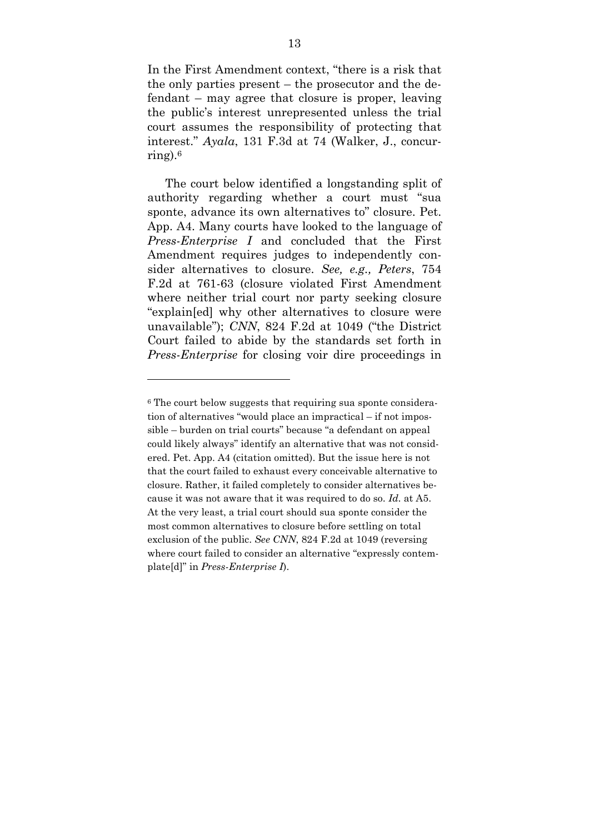In the First Amendment context, "there is a risk that the only parties present – the prosecutor and the defendant – may agree that closure is proper, leaving the public's interest unrepresented unless the trial court assumes the responsibility of protecting that interest." *Ayala*, 131 F.3d at 74 (Walker, J., concurring). $6$ 

The court below identified a longstanding split of authority regarding whether a court must "sua sponte, advance its own alternatives to" closure. Pet. App. A4. Many courts have looked to the language of *Press-Enterprise I* and concluded that the First Amendment requires judges to independently consider alternatives to closure. *See, e.g., Peters*, 754 F.2d at 761-63 (closure violated First Amendment where neither trial court nor party seeking closure "explain[ed] why other alternatives to closure were unavailable"); *CNN*, 824 F.2d at 1049 ("the District Court failed to abide by the standards set forth in *Press-Enterprise* for closing voir dire proceedings in

l

<sup>&</sup>lt;sup>6</sup> The court below suggests that requiring sua sponte consideration of alternatives "would place an impractical – if not impossible – burden on trial courts" because "a defendant on appeal could likely always" identify an alternative that was not considered. Pet. App. A4 (citation omitted). But the issue here is not that the court failed to exhaust every conceivable alternative to closure. Rather, it failed completely to consider alternatives because it was not aware that it was required to do so. *Id.* at A5. At the very least, a trial court should sua sponte consider the most common alternatives to closure before settling on total exclusion of the public. *See CNN*, 824 F.2d at 1049 (reversing where court failed to consider an alternative "expressly contemplate[d]" in *Press-Enterprise I*).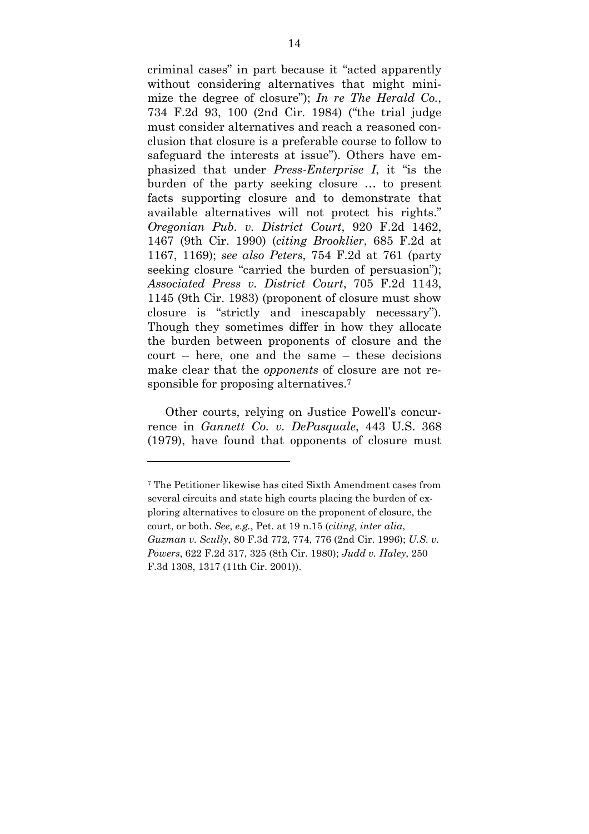criminal cases" in part because it "acted apparently without considering alternatives that might minimize the degree of closure"); *In re The Herald Co.*, 734 F.2d 93, 100 (2nd Cir. 1984) ("the trial judge must consider alternatives and reach a reasoned conclusion that closure is a preferable course to follow to safeguard the interests at issue"). Others have emphasized that under *Press-Enterprise I*, it "is the burden of the party seeking closure … to present facts supporting closure and to demonstrate that available alternatives will not protect his rights." *Oregonian Pub. v. District Court*, 920 F.2d 1462, 1467 (9th Cir. 1990) (*citing Brooklier*, 685 F.2d at 1167, 1169); *see also Peters*, 754 F.2d at 761 (party seeking closure "carried the burden of persuasion"); *Associated Press v. District Court*, 705 F.2d 1143, 1145 (9th Cir. 1983) (proponent of closure must show closure is "strictly and inescapably necessary"). Though they sometimes differ in how they allocate the burden between proponents of closure and the court – here, one and the same – these decisions make clear that the *opponents* of closure are not responsible for proposing alternatives.<sup>7</sup>

Other courts, relying on Justice Powell's concurrence in *Gannett Co. v. DePasquale*, 443 U.S. 368 (1979), have found that opponents of closure must

<sup>7</sup> The Petitioner likewise has cited Sixth Amendment cases from several circuits and state high courts placing the burden of exploring alternatives to closure on the proponent of closure, the court, or both. *See*, *e.g.*, Pet. at 19 n.15 (*citing*, *inter alia*, *Guzman v. Scully*, 80 F.3d 772, 774, 776 (2nd Cir. 1996); *U.S. v. Powers*, 622 F.2d 317, 325 (8th Cir. 1980); *Judd v. Haley*, 250 F.3d 1308, 1317 (11th Cir. 2001)).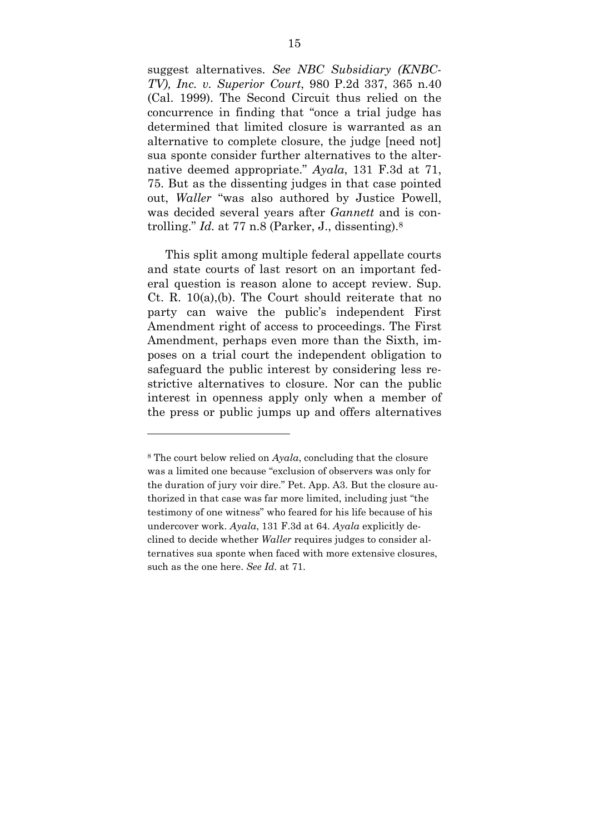suggest alternatives. *See NBC Subsidiary (KNBC-TV), Inc. v. Superior Court*, 980 P.2d 337, 365 n.40 (Cal. 1999). The Second Circuit thus relied on the concurrence in finding that "once a trial judge has determined that limited closure is warranted as an alternative to complete closure, the judge [need not] sua sponte consider further alternatives to the alternative deemed appropriate." *Ayala*, 131 F.3d at 71, 75. But as the dissenting judges in that case pointed out, *Waller* "was also authored by Justice Powell, was decided several years after *Gannett* and is controlling." *Id.* at 77 n.8 (Parker, J., dissenting).<sup>8</sup>

This split among multiple federal appellate courts and state courts of last resort on an important federal question is reason alone to accept review. Sup. Ct. R. 10(a),(b). The Court should reiterate that no party can waive the public's independent First Amendment right of access to proceedings. The First Amendment, perhaps even more than the Sixth, imposes on a trial court the independent obligation to safeguard the public interest by considering less restrictive alternatives to closure. Nor can the public interest in openness apply only when a member of the press or public jumps up and offers alternatives

<sup>8</sup> The court below relied on *Ayala*, concluding that the closure was a limited one because "exclusion of observers was only for the duration of jury voir dire." Pet. App. A3. But the closure authorized in that case was far more limited, including just "the testimony of one witness" who feared for his life because of his undercover work. *Ayala*, 131 F.3d at 64. *Ayala* explicitly declined to decide whether *Waller* requires judges to consider alternatives sua sponte when faced with more extensive closures, such as the one here. *See Id.* at 71.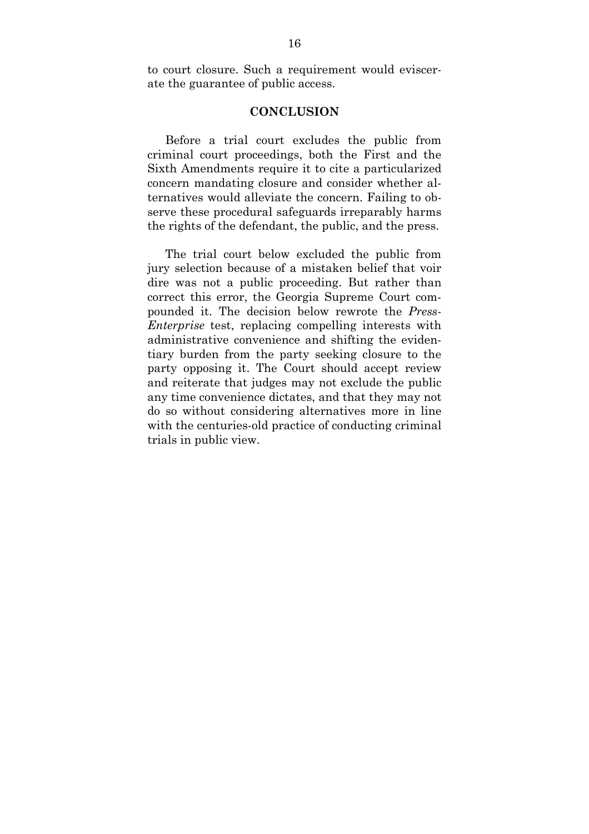to court closure. Such a requirement would eviscerate the guarantee of public access.

#### **CONCLUSION**

 Before a trial court excludes the public from criminal court proceedings, both the First and the Sixth Amendments require it to cite a particularized concern mandating closure and consider whether alternatives would alleviate the concern. Failing to observe these procedural safeguards irreparably harms the rights of the defendant, the public, and the press.

 The trial court below excluded the public from jury selection because of a mistaken belief that voir dire was not a public proceeding. But rather than correct this error, the Georgia Supreme Court compounded it. The decision below rewrote the *Press-Enterprise* test, replacing compelling interests with administrative convenience and shifting the evidentiary burden from the party seeking closure to the party opposing it. The Court should accept review and reiterate that judges may not exclude the public any time convenience dictates, and that they may not do so without considering alternatives more in line with the centuries-old practice of conducting criminal trials in public view.